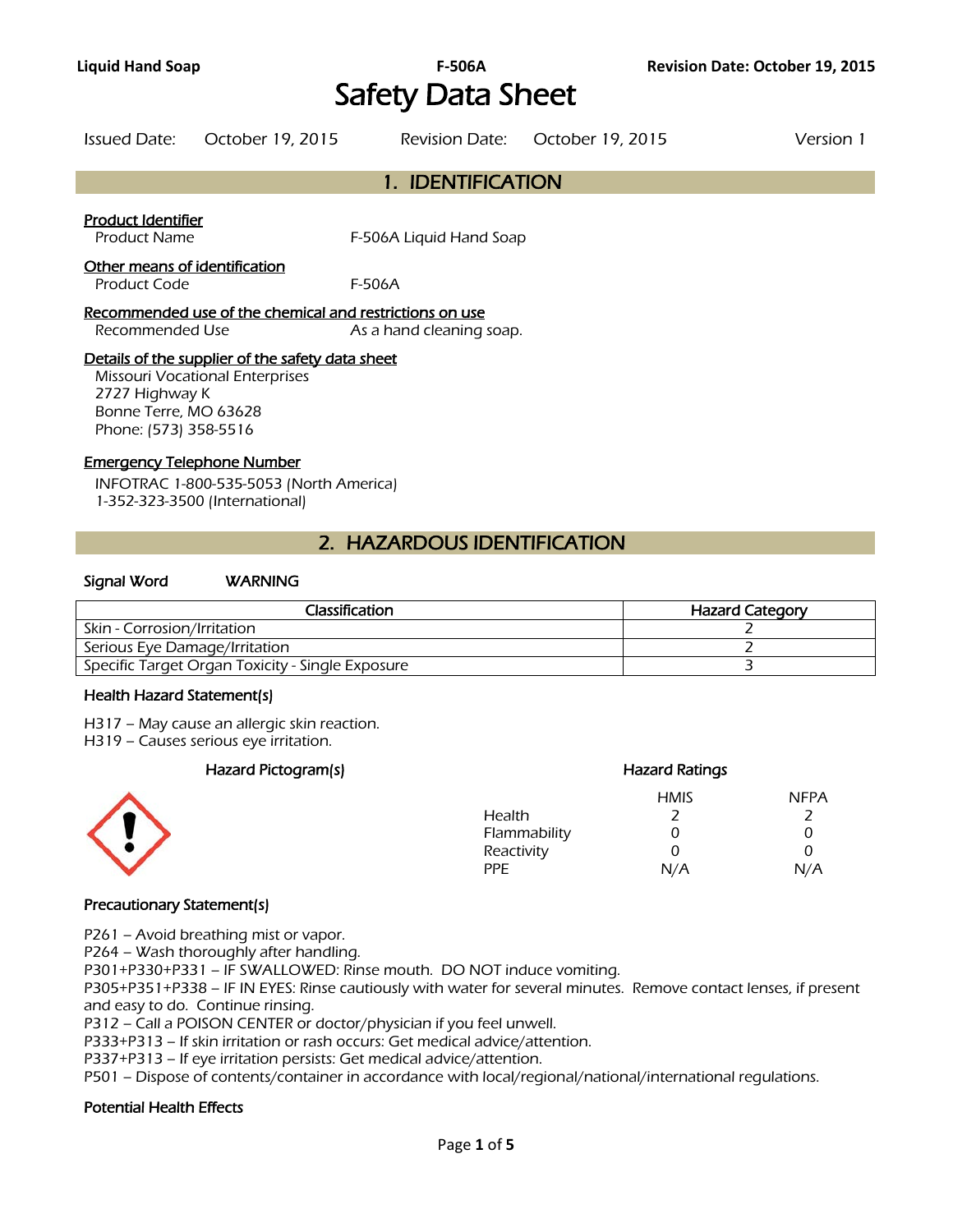# **Liquid Hand Soap F-506A Revision Date: October 19, 2015**  Safety Data Sheet

|                    | Issued Date: October 19, 2015 |                   | Revision Date: October 19, 2015 | Version 1 |
|--------------------|-------------------------------|-------------------|---------------------------------|-----------|
|                    |                               | 1. IDENTIFICATION |                                 |           |
| Product Identifier |                               |                   |                                 |           |

Product Name F-506A Liquid Hand Soap

### Other means of identification

Product Code F-506A

### Recommended use of the chemical and restrictions on use

Recommended Use As a hand cleaning soap.

## Details of the supplier of the safety data sheet

Missouri Vocational Enterprises 2727 Highway K Bonne Terre, MO 63628 Phone: (573) 358-5516

#### Emergency Telephone Number

INFOTRAC 1-800-535-5053 (North America) 1-352-323-3500 (International)

# 2. HAZARDOUS IDENTIFICATION

### Signal Word WARNING

| Classification                                   | <b>Hazard Category</b> |
|--------------------------------------------------|------------------------|
| Skin - Corrosion/Irritation                      |                        |
| Serious Eye Damage/Irritation                    |                        |
| Specific Target Organ Toxicity - Single Exposure |                        |
|                                                  |                        |

#### Health Hazard Statement(s)

H317 – May cause an allergic skin reaction.

H319 – Causes serious eye irritation.

### Hazard Pictogram(s) Hazard Ratings



### HMIS NFPA Health 2 2 Flammability 0 0 0 Reactivity 0 0 0 PPE N/A N/A

### Precautionary Statement(s)

P261 – Avoid breathing mist or vapor.

P264 – Wash thoroughly after handling.

P301+P330+P331 – IF SWALLOWED: Rinse mouth. DO NOT induce vomiting.

P305+P351+P338 – IF IN EYES: Rinse cautiously with water for several minutes. Remove contact lenses, if present and easy to do. Continue rinsing.

P312 – Call a POISON CENTER or doctor/physician if you feel unwell.

P333+P313 – If skin irritation or rash occurs: Get medical advice/attention.

P337+P313 – If eye irritation persists: Get medical advice/attention.

P501 – Dispose of contents/container in accordance with local/regional/national/international regulations.

### Potential Health Effects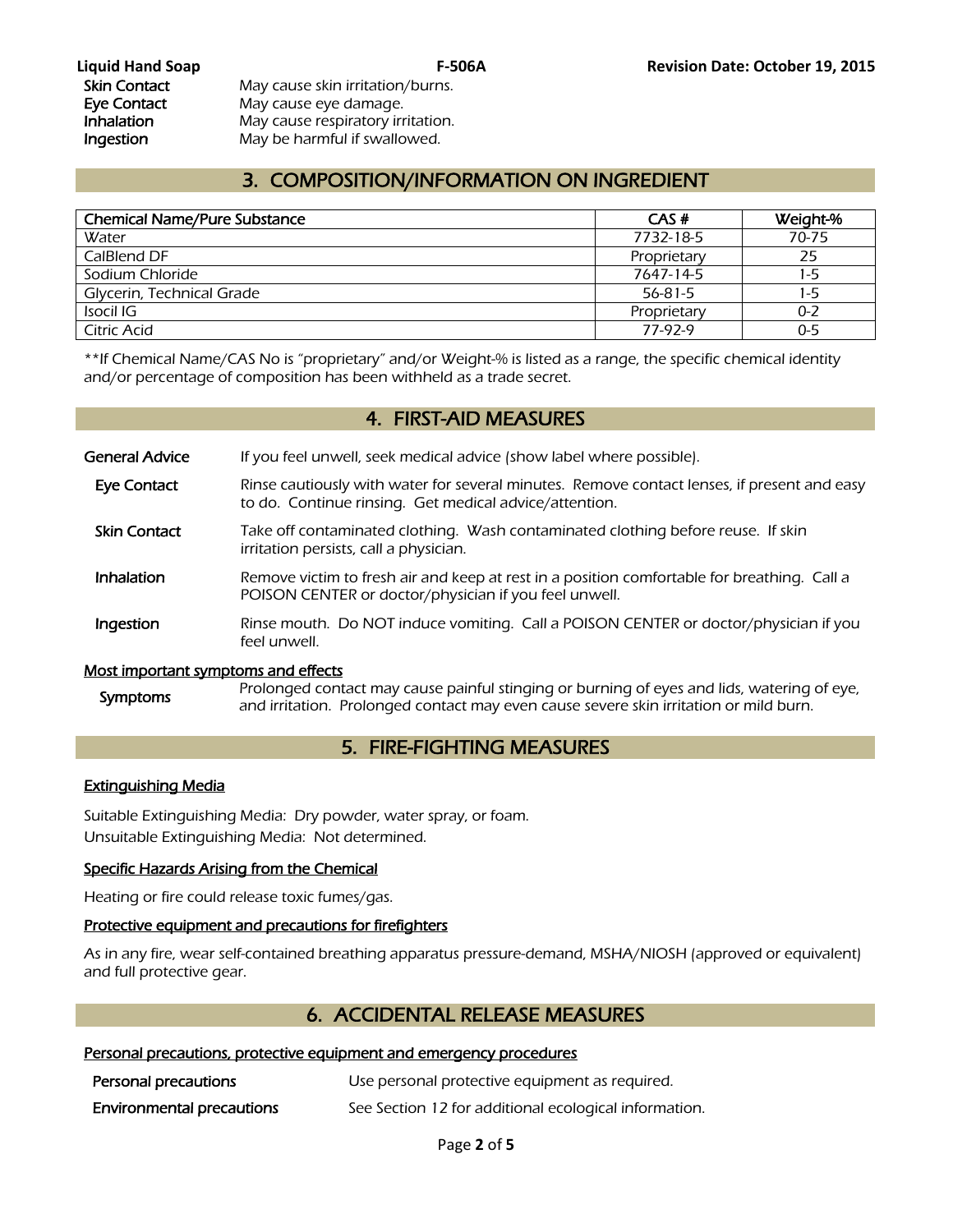Skin Contact May cause skin irritation/burns. Eye Contact May cause eye damage. **Inhalation** May cause respiratory irritation. Ingestion May be harmful if swallowed.

# 3. COMPOSITION/INFORMATION ON INGREDIENT

| <b>Chemical Name/Pure Substance</b> | CAS#        | Weight-% |
|-------------------------------------|-------------|----------|
| Water                               | 7732-18-5   | 70-75    |
| CalBlend DF                         | Proprietary | 25       |
| Sodium Chloride                     | 7647-14-5   | 1-5      |
| Glycerin, Technical Grade           | 56-81-5     | $1-5$    |
| Isocil IG                           | Proprietary | 0-2      |
| Citric Acid                         | 77-97-9     | $0 - 5$  |
|                                     |             |          |

\*\*If Chemical Name/CAS No is "proprietary" and/or Weight-% is listed as a range, the specific chemical identity and/or percentage of composition has been withheld as a trade secret.

# 4. FIRST-AID MEASURES

General Advice If you feel unwell, seek medical advice (show label where possible).

- Eye Contact Rinse cautiously with water for several minutes. Remove contact lenses, if present and easy to do. Continue rinsing. Get medical advice/attention.
- Skin Contact Take off contaminated clothing. Wash contaminated clothing before reuse. If skin irritation persists, call a physician.
- **Inhalation** Remove victim to fresh air and keep at rest in a position comfortable for breathing. Call a POISON CENTER or doctor/physician if you feel unwell.
- **Ingestion** Rinse mouth. Do NOT induce vomiting. Call a POISON CENTER or doctor/physician if you feel unwell.

### Most important symptoms and effects

Symptoms Prolonged contact may cause painful stinging or burning of eyes and lids, watering of eye, and irritation. Prolonged contact may even cause severe skin irritation or mild burn.

# 5. FIRE-FIGHTING MEASURES

### Extinguishing Media

Suitable Extinguishing Media: Dry powder, water spray, or foam. Unsuitable Extinguishing Media: Not determined.

### Specific Hazards Arising from the Chemical

Heating or fire could release toxic fumes/gas.

### Protective equipment and precautions for firefighters

As in any fire, wear self-contained breathing apparatus pressure-demand, MSHA/NIOSH (approved or equivalent) and full protective gear.

# 6. ACCIDENTAL RELEASE MEASURES

## Personal precautions, protective equipment and emergency procedures

| Personal precautions             | Use personal protective equipment as required.        |
|----------------------------------|-------------------------------------------------------|
| <b>Environmental precautions</b> | See Section 12 for additional ecological information. |

Page **2** of **5**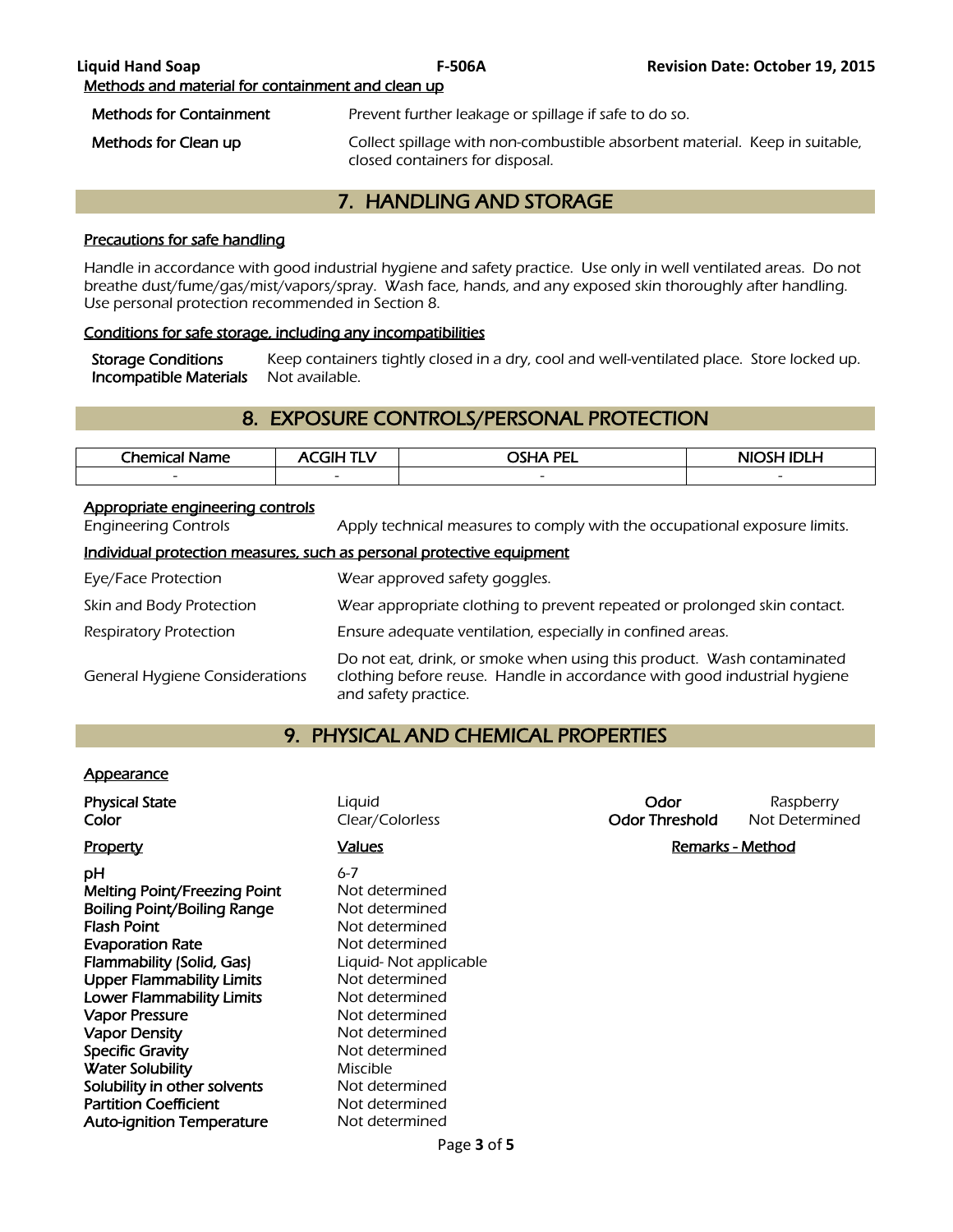| <b>Liquid Hand Soap</b>                           | <b>F-506A</b>                                         | <b>Revision Date: October 19, 2015</b>                                      |
|---------------------------------------------------|-------------------------------------------------------|-----------------------------------------------------------------------------|
| Methods and material for containment and clean up |                                                       |                                                                             |
| <b>Methods for Containment</b>                    | Prevent further leakage or spillage if safe to do so. |                                                                             |
| Methods for Clean up                              | closed containers for disposal.                       | Collect spillage with non-combustible absorbent material. Keep in suitable, |

# 7. HANDLING AND STORAGE

# Precautions for safe handling

Handle in accordance with good industrial hygiene and safety practice. Use only in well ventilated areas. Do not breathe dust/fume/gas/mist/vapors/spray. Wash face, hands, and any exposed skin thoroughly after handling. Use personal protection recommended in Section 8.

#### Conditions for safe storage, including any incompatibilities

Storage Conditions Keep containers tightly closed in a dry, cool and well-ventilated place. Store locked up.<br>Incompatible Materials Not available. Incompatible Materials

# 8. EXPOSURE CONTROLS/PERSONAL PROTECTION

| <b>Chemical</b> i<br>Name | 71 H                     | <b>OSHA PEL</b>          | NIOSH IDI H              |
|---------------------------|--------------------------|--------------------------|--------------------------|
| $\overline{\phantom{0}}$  | $\overline{\phantom{0}}$ | $\overline{\phantom{a}}$ | $\overline{\phantom{0}}$ |
|                           |                          |                          |                          |

#### Appropriate engineering controls

Engineering Controls Apply technical measures to comply with the occupational exposure limits.

#### Individual protection measures, such as personal protective equipment

| Eye/Face Protection                   | Wear approved safety goggles.                                                                                                                                              |
|---------------------------------------|----------------------------------------------------------------------------------------------------------------------------------------------------------------------------|
| Skin and Body Protection              | Wear appropriate clothing to prevent repeated or prolonged skin contact.                                                                                                   |
| Respiratory Protection                | Ensure adequate ventilation, especially in confined areas.                                                                                                                 |
| <b>General Hygiene Considerations</b> | Do not eat, drink, or smoke when using this product. Wash contaminated<br>clothing before reuse. Handle in accordance with good industrial hygiene<br>and safety practice. |

# 9. PHYSICAL AND CHEMICAL PROPERTIES

### **Appearance**

| <b>Physical State</b><br>Color                                                                                                                                                                                                                          | Liquid<br>Clear/Colorless                                                                                                                                      | Odor<br><b>Odor Threshold</b> | Raspberry<br>Not Determined |
|---------------------------------------------------------------------------------------------------------------------------------------------------------------------------------------------------------------------------------------------------------|----------------------------------------------------------------------------------------------------------------------------------------------------------------|-------------------------------|-----------------------------|
| <b>Property</b>                                                                                                                                                                                                                                         | <b>Values</b>                                                                                                                                                  | <b>Remarks - Method</b>       |                             |
| рH<br>Melting Point/Freezing Point<br><b>Boiling Point/Boiling Range</b><br><b>Flash Point</b><br><b>Evaporation Rate</b><br>Flammability (Solid, Gas)<br><b>Upper Flammability Limits</b><br><b>Lower Flammability Limits</b><br><b>Vapor Pressure</b> | $6 - 7$<br>Not determined<br>Not determined<br>Not determined<br>Not determined<br>Liquid-Not applicable<br>Not determined<br>Not determined<br>Not determined |                               |                             |
| <b>Vapor Density</b><br><b>Specific Gravity</b>                                                                                                                                                                                                         | Not determined<br>Not determined                                                                                                                               |                               |                             |
| <b>Water Solubility</b>                                                                                                                                                                                                                                 | Miscible                                                                                                                                                       |                               |                             |
| Solubility in other solvents                                                                                                                                                                                                                            | Not determined                                                                                                                                                 |                               |                             |
| <b>Partition Coefficient</b>                                                                                                                                                                                                                            | Not determined                                                                                                                                                 |                               |                             |
| <b>Auto-ignition Temperature</b>                                                                                                                                                                                                                        | Not determined                                                                                                                                                 |                               |                             |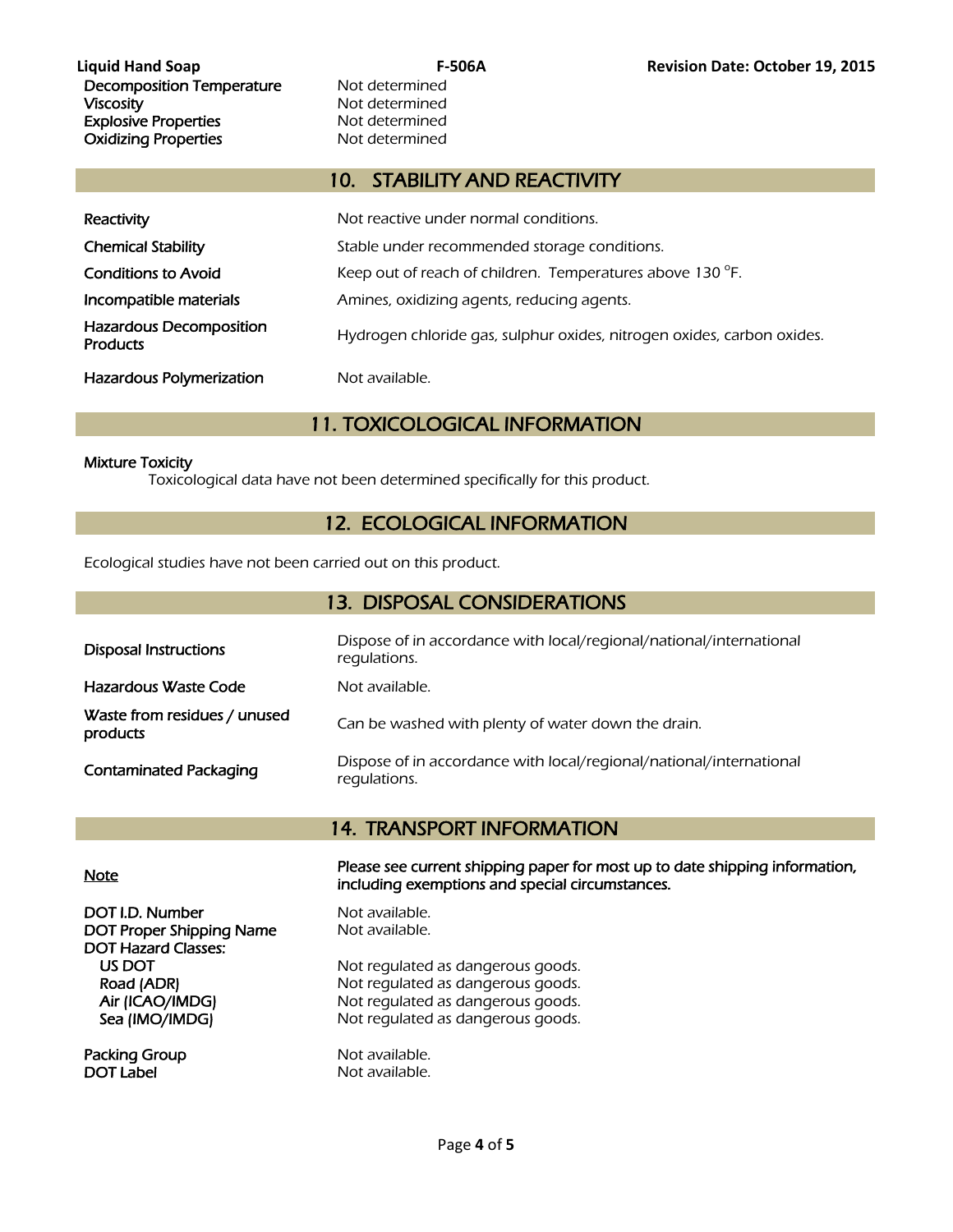# 10. STABILITY AND REACTIVITY

| Reactivity                                        | Not reactive under normal conditions.                                  |
|---------------------------------------------------|------------------------------------------------------------------------|
| <b>Chemical Stability</b>                         | Stable under recommended storage conditions.                           |
| <b>Conditions to Avoid</b>                        | Keep out of reach of children. Temperatures above 130 °F.              |
| Incompatible materials                            | Amines, oxidizing agents, reducing agents.                             |
| <b>Hazardous Decomposition</b><br><b>Products</b> | Hydrogen chloride gas, sulphur oxides, nitrogen oxides, carbon oxides. |
| <b>Hazardous Polymerization</b>                   | Not available.                                                         |

# 11. TOXICOLOGICAL INFORMATION

#### Mixture Toxicity

Toxicological data have not been determined specifically for this product.

# 12. ECOLOGICAL INFORMATION

Ecological studies have not been carried out on this product.

| 13. DISPOSAL CONSIDERATIONS              |                                                                                     |  |
|------------------------------------------|-------------------------------------------------------------------------------------|--|
| <b>Disposal Instructions</b>             | Dispose of in accordance with local/regional/national/international<br>regulations. |  |
| Hazardous Waste Code                     | Not available.                                                                      |  |
| Waste from residues / unused<br>products | Can be washed with plenty of water down the drain.                                  |  |
| <b>Contaminated Packaging</b>            | Dispose of in accordance with local/regional/national/international<br>requlations. |  |

# 14. TRANSPORT INFORMATION

DOT I.D. Number Not available. DOT Proper Shipping Name Not available. DOT Hazard Classes:

Packing Group Not available. DOT Label Not available.

Note Please see current shipping paper for most up to date shipping information, including exemptions and special circumstances.

US DOT Not regulated as dangerous goods.<br>
Road (ADR) Not regulated as dangerous goods. Not regulated as dangerous goods. Air (ICAO/IMDG) Not regulated as dangerous goods. Sea (IMO/IMDG) Not regulated as dangerous goods.